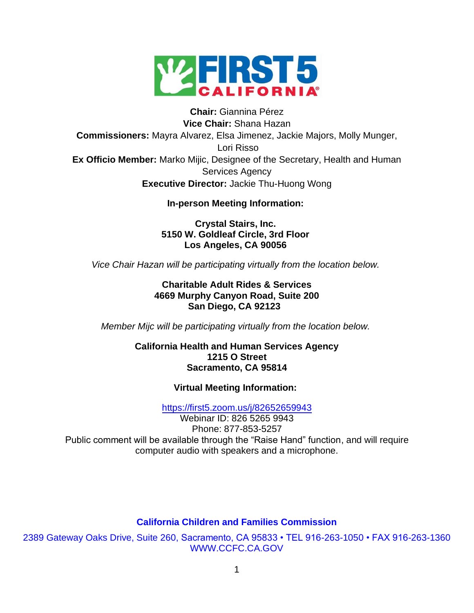

# **Chair:** Giannina Pérez **Vice Chair:** Shana Hazan **Commissioners:** Mayra Alvarez, Elsa Jimenez, Jackie Majors, Molly Munger, Lori Risso **Ex Officio Member:** Marko Mijic, Designee of the Secretary, Health and Human Services Agency **Executive Director:** Jackie Thu-Huong Wong

## **In-person Meeting Information:**

**Crystal Stairs, Inc. 5150 W. Goldleaf Circle, 3rd Floor Los Angeles, CA 90056**

*Vice Chair Hazan will be participating virtually from the location below.*

## **Charitable Adult Rides & Services 4669 Murphy Canyon Road, Suite 200 San Diego, CA 92123**

*Member Mijc will be participating virtually from the location below.*

#### **California Health and Human Services Agency 1215 O Street Sacramento, CA 95814**

## **Virtual Meeting Information:**

<https://first5.zoom.us/j/82652659943>

Webinar ID: 826 5265 9943 Phone: 877-853-5257 Public comment will be available through the "Raise Hand" function, and will require computer audio with speakers and a microphone.

## **California Children and Families Commission**

2389 Gateway Oaks Drive, Suite 260, Sacramento, CA 95833 • TEL 916-263-1050 • FAX 916-263-1360 WWW.CCFC.CA.GOV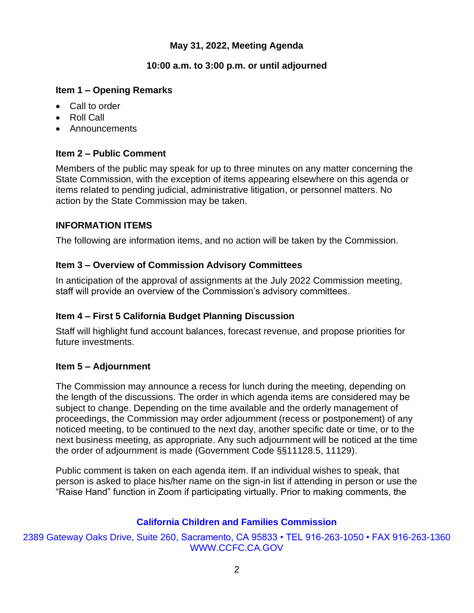## **May 31, 2022, Meeting Agenda**

## **10:00 a.m. to 3:00 p.m. or until adjourned**

## **Item 1 – Opening Remarks**

- Call to order
- Roll Call
- Announcements

## **Item 2 – Public Comment**

Members of the public may speak for up to three minutes on any matter concerning the State Commission, with the exception of items appearing elsewhere on this agenda or items related to pending judicial, administrative litigation, or personnel matters. No action by the State Commission may be taken.

## **INFORMATION ITEMS**

The following are information items, and no action will be taken by the Commission.

## **Item 3 – Overview of Commission Advisory Committees**

In anticipation of the approval of assignments at the July 2022 Commission meeting, staff will provide an overview of the Commission's advisory committees.

# **Item 4 – First 5 California Budget Planning Discussion**

Staff will highlight fund account balances, forecast revenue, and propose priorities for future investments.

## **Item 5 – Adjournment**

The Commission may announce a recess for lunch during the meeting, depending on the length of the discussions. The order in which agenda items are considered may be subject to change. Depending on the time available and the orderly management of proceedings, the Commission may order adjournment (recess or postponement) of any noticed meeting, to be continued to the next day, another specific date or time, or to the next business meeting, as appropriate. Any such adjournment will be noticed at the time the order of adjournment is made (Government Code §§11128.5, 11129).

Public comment is taken on each agenda item. If an individual wishes to speak, that person is asked to place his/her name on the sign-in list if attending in person or use the "Raise Hand" function in Zoom if participating virtually. Prior to making comments, the

# **California Children and Families Commission**

2389 Gateway Oaks Drive, Suite 260, Sacramento, CA 95833 • TEL 916-263-1050 • FAX 916-263-1360 WWW.CCFC.CA.GOV